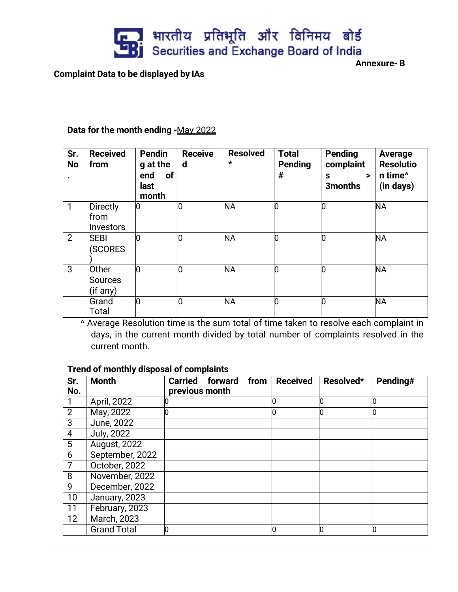

**Complaint Data to be displayed by IAs**

**Annexure- B**

## **Data for the month ending -**May 2022

| Sr.<br><b>No</b> | <b>Received</b><br>from                     | <b>Pendin</b><br>g at the<br>of<br>end<br>last<br>month | <b>Receive</b><br>$\mathbf d$ | <b>Resolved</b><br>$\star$ | <b>Total</b><br><b>Pending</b><br># | <b>Pending</b><br>complaint<br>S<br>><br>3 <sub>months</sub> | Average<br><b>Resolutio</b><br>n time <sup>^</sup><br>(in days) |
|------------------|---------------------------------------------|---------------------------------------------------------|-------------------------------|----------------------------|-------------------------------------|--------------------------------------------------------------|-----------------------------------------------------------------|
| $\mathbf{1}$     | <b>Directly</b><br>from<br><b>Investors</b> | 0                                                       | O                             | <b>NA</b>                  | l0                                  |                                                              | <b>NA</b>                                                       |
| 2                | <b>SEBI</b><br><b>SCORES</b>                |                                                         | 0                             | <b>NA</b>                  | 10                                  |                                                              | <b>NA</b>                                                       |
| 3                | Other<br><b>Sources</b><br>(if any)         | Ю                                                       | n                             | <b>NA</b>                  | 10                                  |                                                              | <b>NA</b>                                                       |
|                  | Grand<br>Total                              | l0                                                      | 0                             | <b>NA</b>                  | l0                                  |                                                              | <b>NA</b>                                                       |

^ Average Resolution time is the sum total of time taken to resolve each complaint in days, in the current month divided by total number of complaints resolved in the current month.

## **Trend of monthly disposal of complaints**

| Sr.            | <b>Month</b>        | <b>Carried</b><br>forward | from | <b>Received</b> | Resolved* | Pending# |
|----------------|---------------------|---------------------------|------|-----------------|-----------|----------|
| No.            |                     | previous month            |      |                 |           |          |
|                | April, 2022         |                           |      |                 | Ю         | 0        |
| $\overline{2}$ | May, 2022           |                           |      |                 |           | 0        |
| 3              | June, 2022          |                           |      |                 |           |          |
| 4              | <b>July, 2022</b>   |                           |      |                 |           |          |
| $\overline{5}$ | <b>August, 2022</b> |                           |      |                 |           |          |
| $\overline{6}$ | September, 2022     |                           |      |                 |           |          |
|                | October, 2022       |                           |      |                 |           |          |
| 8              | November, 2022      |                           |      |                 |           |          |
| 9              | December, 2022      |                           |      |                 |           |          |
| 10             | January, 2023       |                           |      |                 |           |          |
| 11             | February, 2023      |                           |      |                 |           |          |
| 12             | <b>March, 2023</b>  |                           |      |                 |           |          |
|                | <b>Grand Total</b>  |                           |      |                 | 0         | l0       |